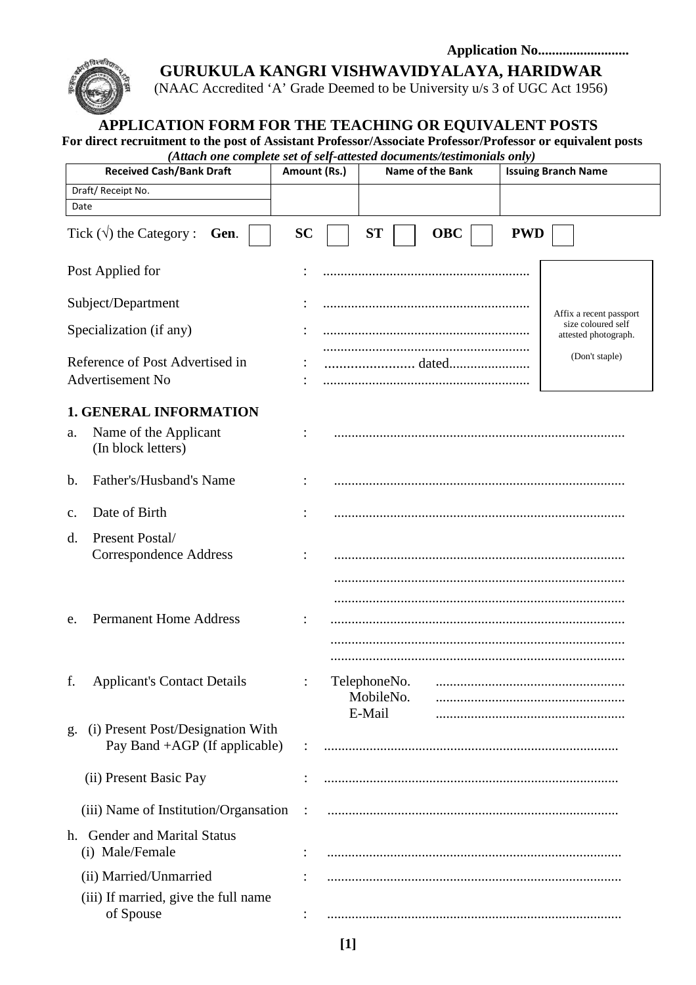#### **Application No..........................**



**GURUKULA KANGRI VISHWAVIDYALAYA, HARIDWAR** 

(NAAC Accredited 'A' Grade Deemed to be University u/s 3 of UGC Act 1956)

# **APPLICATION FORM FOR THE TEACHING OR EQUIVALENT POSTS**

**For direct recruitment to the post of Assistant Professor/Associate Professor/Professor or equivalent posts**  *(Attach one complete set of self-attested documents/testimonials only)* 

| (Anach one complete set of self-allested aocuments/lestimonials only)<br><b>Received Cash/Bank Draft</b> | Amount (Rs.)         |                                     | <b>Name of the Bank</b> |            | <b>Issuing Branch Name</b>                 |
|----------------------------------------------------------------------------------------------------------|----------------------|-------------------------------------|-------------------------|------------|--------------------------------------------|
| Draft/Receipt No.                                                                                        |                      |                                     |                         |            |                                            |
| Date                                                                                                     |                      |                                     |                         |            |                                            |
| Tick $(\sqrt{})$ the Category :<br>Gen.                                                                  | <b>SC</b>            | <b>ST</b>                           | <b>OBC</b>              | <b>PWD</b> |                                            |
| Post Applied for                                                                                         |                      |                                     |                         |            |                                            |
| Subject/Department                                                                                       |                      |                                     |                         |            | Affix a recent passport                    |
| Specialization (if any)                                                                                  |                      |                                     |                         |            | size coloured self<br>attested photograph. |
| Reference of Post Advertised in<br>Advertisement No                                                      |                      |                                     |                         |            | (Don't staple)                             |
| <b>1. GENERAL INFORMATION</b>                                                                            |                      |                                     |                         |            |                                            |
| Name of the Applicant<br>a.<br>(In block letters)                                                        |                      |                                     |                         |            |                                            |
| Father's/Husband's Name<br>$\mathbf{b}$ .                                                                |                      |                                     |                         |            |                                            |
| Date of Birth<br>$\mathbf{c}$ .                                                                          |                      |                                     |                         |            |                                            |
| Present Postal/<br>d.<br><b>Correspondence Address</b>                                                   |                      |                                     |                         |            |                                            |
| <b>Permanent Home Address</b><br>e.                                                                      |                      |                                     |                         |            |                                            |
| f.<br><b>Applicant's Contact Details</b>                                                                 |                      | TelephoneNo.<br>MobileNo.<br>E-Mail |                         |            |                                            |
| (i) Present Post/Designation With<br>g.<br>Pay Band $+AGP$ (If applicable)                               |                      |                                     |                         |            |                                            |
| (ii) Present Basic Pay                                                                                   |                      |                                     |                         |            |                                            |
| (iii) Name of Institution/Organization                                                                   | $\ddot{\phantom{1}}$ |                                     |                         |            |                                            |
| h. Gender and Marital Status<br>(i) Male/Female                                                          |                      |                                     |                         |            |                                            |
| (ii) Married/Unmarried                                                                                   |                      |                                     |                         |            |                                            |
| (iii) If married, give the full name<br>of Spouse                                                        |                      |                                     |                         |            |                                            |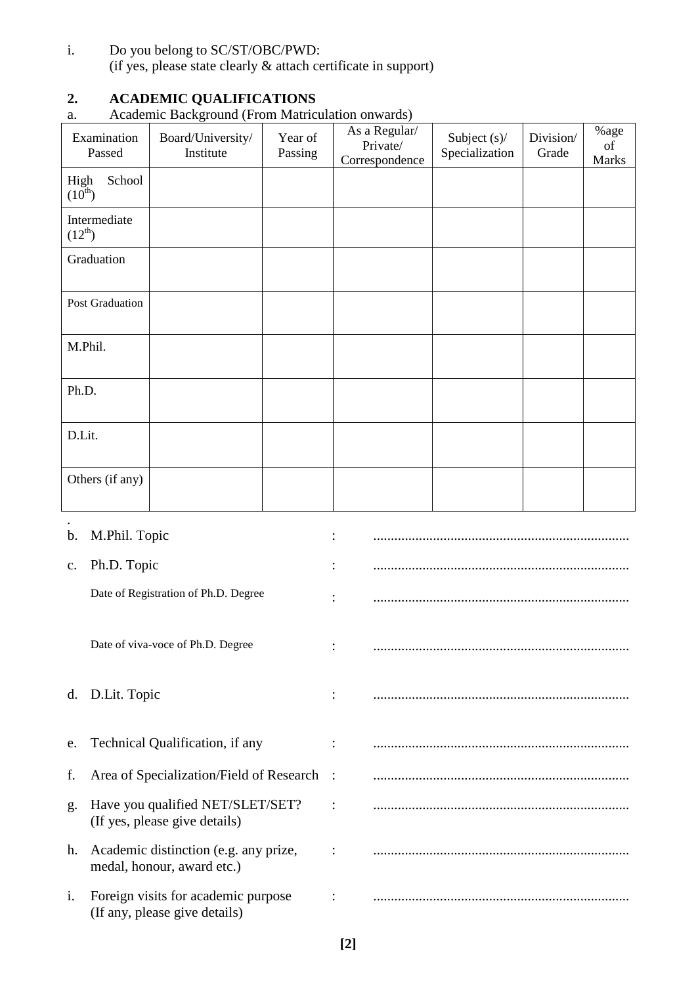i. Do you belong to SC/ST/OBC/PWD: (if yes, please state clearly & attach certificate in support)

# **2. ACADEMIC QUALIFICATIONS**

#### a. Academic Background (From Matriculation onwards)

| Examination<br>Passed         | ັ<br>Board/University/<br>Institute | Year of<br>Passing | As a Regular/<br>Private/<br>Correspondence | Subject $(s)$ /<br>Specialization | Division/<br>Grade | %age<br>of<br>Marks |
|-------------------------------|-------------------------------------|--------------------|---------------------------------------------|-----------------------------------|--------------------|---------------------|
| School<br>High<br>$(10^{th})$ |                                     |                    |                                             |                                   |                    |                     |
| Intermediate<br>$(12^{th})$   |                                     |                    |                                             |                                   |                    |                     |
| Graduation                    |                                     |                    |                                             |                                   |                    |                     |
| Post Graduation               |                                     |                    |                                             |                                   |                    |                     |
| M.Phil.                       |                                     |                    |                                             |                                   |                    |                     |
| Ph.D.                         |                                     |                    |                                             |                                   |                    |                     |
| D.Lit.                        |                                     |                    |                                             |                                   |                    |                     |
| Others (if any)               |                                     |                    |                                             |                                   |                    |                     |
|                               |                                     |                    |                                             |                                   |                    |                     |

|                | b. M.Phil. Topic                                                     |  |
|----------------|----------------------------------------------------------------------|--|
| $\mathbf{c}$ . | Ph.D. Topic                                                          |  |
|                | Date of Registration of Ph.D. Degree                                 |  |
|                | Date of viva-voce of Ph.D. Degree                                    |  |
|                | d. D.Lit. Topic                                                      |  |
| e.             | Technical Qualification, if any                                      |  |
| f.             | Area of Specialization/Field of Research                             |  |
| g.             | Have you qualified NET/SLET/SET?<br>(If yes, please give details)    |  |
| h.             | Academic distinction (e.g. any prize,<br>medal, honour, award etc.)  |  |
| $\mathbf{i}$ . | Foreign visits for academic purpose<br>(If any, please give details) |  |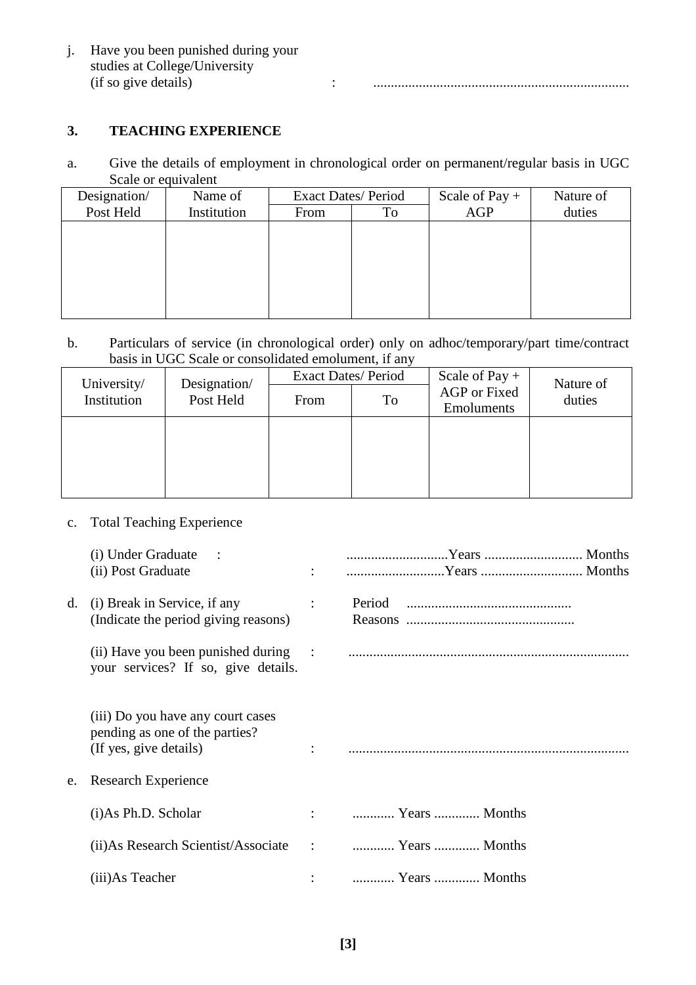| Have you been punished during your<br>studies at College/University |  |
|---------------------------------------------------------------------|--|
| (if so give details)                                                |  |

### **3. TEACHING EXPERIENCE**

a. Give the details of employment in chronological order on permanent/regular basis in UGC Scale or equivalent

| Designation/ | Name of     | <b>Exact Dates/Period</b> |  | Scale of Pay $+$ | Nature of |
|--------------|-------------|---------------------------|--|------------------|-----------|
| Post Held    | Institution | From<br>To                |  | AGP              | duties    |
|              |             |                           |  |                  |           |
|              |             |                           |  |                  |           |
|              |             |                           |  |                  |           |
|              |             |                           |  |                  |           |
|              |             |                           |  |                  |           |
|              |             |                           |  |                  |           |

b. Particulars of service (in chronological order) only on adhoc/temporary/part time/contract basis in UGC Scale or consolidated emolument, if any

|                                                         |  | <b>Exact Dates/Period</b> |    | Scale of Pay $+$           | Nature of |  |
|---------------------------------------------------------|--|---------------------------|----|----------------------------|-----------|--|
| Designation/<br>University/<br>Post Held<br>Institution |  | From                      | To | AGP or Fixed<br>Emoluments | duties    |  |
|                                                         |  |                           |    |                            |           |  |
|                                                         |  |                           |    |                            |           |  |
|                                                         |  |                           |    |                            |           |  |
|                                                         |  |                           |    |                            |           |  |

# c. Total Teaching Experience

|    | (i) Under Graduate :                                                                                                 |                      |                        |
|----|----------------------------------------------------------------------------------------------------------------------|----------------------|------------------------|
|    | (ii) Post Graduate                                                                                                   |                      |                        |
| d. | (i) Break in Service, if any<br>(Indicate the period giving reasons)                                                 | $\ddot{\phantom{a}}$ |                        |
|    | your services? If so, give details.                                                                                  |                      |                        |
| e. | (iii) Do you have any court cases<br>pending as one of the parties?<br>(If yes, give details)<br>Research Experience |                      |                        |
|    | (i)As Ph.D. Scholar                                                                                                  |                      | $\vdots$ Years  Months |
|    | (ii) As Research Scientist/Associate : The Months City of the Scientist of Scientist Associate                       |                      |                        |
|    | (iii) As Teacher                                                                                                     |                      | :  Years  Months       |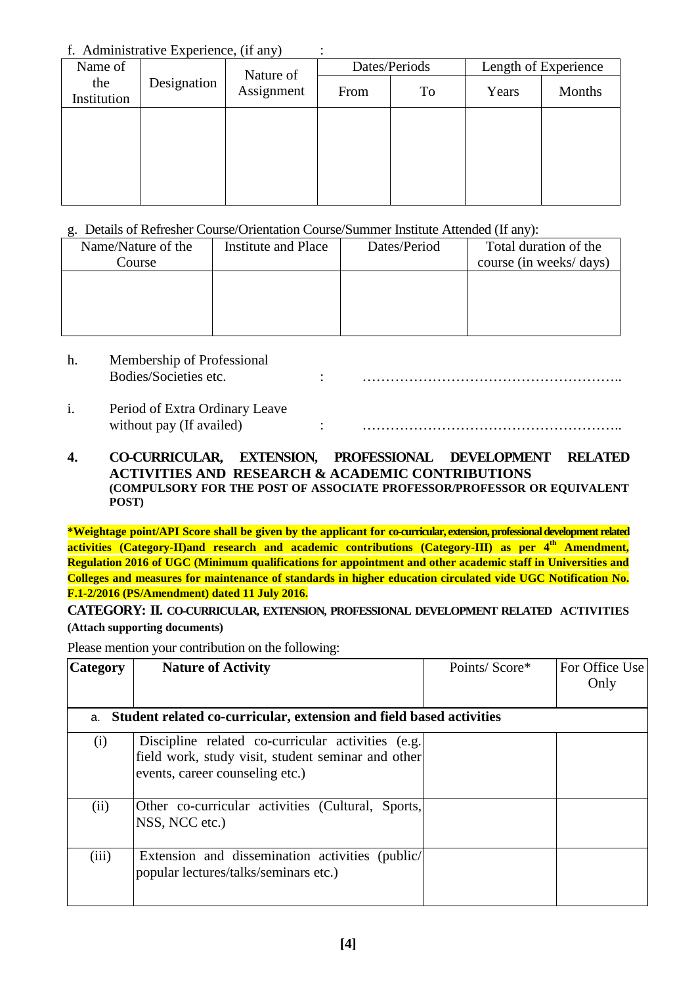#### f. Administrative Experience, (if any) :

| Name of            | Nature of   |            | Dates/Periods |    | Length of Experience |        |
|--------------------|-------------|------------|---------------|----|----------------------|--------|
| the<br>Institution | Designation | Assignment | From          | To | Years                | Months |
|                    |             |            |               |    |                      |        |
|                    |             |            |               |    |                      |        |
|                    |             |            |               |    |                      |        |
|                    |             |            |               |    |                      |        |

#### g. Details of Refresher Course/Orientation Course/Summer Institute Attended (If any):

| Name/Nature of the<br>Course | Institute and Place | Dates/Period | Total duration of the<br>course (in weeks/days) |
|------------------------------|---------------------|--------------|-------------------------------------------------|
|                              |                     |              |                                                 |
|                              |                     |              |                                                 |
|                              |                     |              |                                                 |

# h. Membership of Professional

Bodies/Societies etc. : ………………………………………………..

i. Period of Extra Ordinary Leave without pay (If availed) :

#### **4. CO-CURRICULAR, EXTENSION, PROFESSIONAL DEVELOPMENT RELATED ACTIVITIES AND RESEARCH & ACADEMIC CONTRIBUTIONS (COMPULSORY FOR THE POST OF ASSOCIATE PROFESSOR/PROFESSOR OR EQUIVALENT POST)**

**\*Weightage point/API Score shall be given by the applicant for co-curricular, extension, professional development related activities (Category-II)and research and academic contributions (Category-III) as per 4th Amendment, Regulation 2016 of UGC (Minimum qualifications for appointment and other academic staff in Universities and Colleges and measures for maintenance of standards in higher education circulated vide UGC Notification No. F.1-2/2016 (PS/Amendment) dated 11 July 2016.** 

#### **CATEGORY: II. CO-CURRICULAR, EXTENSION, PROFESSIONAL DEVELOPMENT RELATED ACTIVITIES (Attach supporting documents)**

Please mention your contribution on the following:

| <b>Category</b> | <b>Nature of Activity</b>                                                                                                                  | Points/Score* | For Office Use<br>Only |
|-----------------|--------------------------------------------------------------------------------------------------------------------------------------------|---------------|------------------------|
|                 | a. Student related co-curricular, extension and field based activities                                                                     |               |                        |
| (i)             | Discipline related co-curricular activities (e.g.<br>field work, study visit, student seminar and other<br>events, career counseling etc.) |               |                        |
| (ii)            | Other co-curricular activities (Cultural, Sports,<br>NSS, NCC etc.)                                                                        |               |                        |
| (iii)           | Extension and dissemination activities (public/<br>popular lectures/talks/seminars etc.)                                                   |               |                        |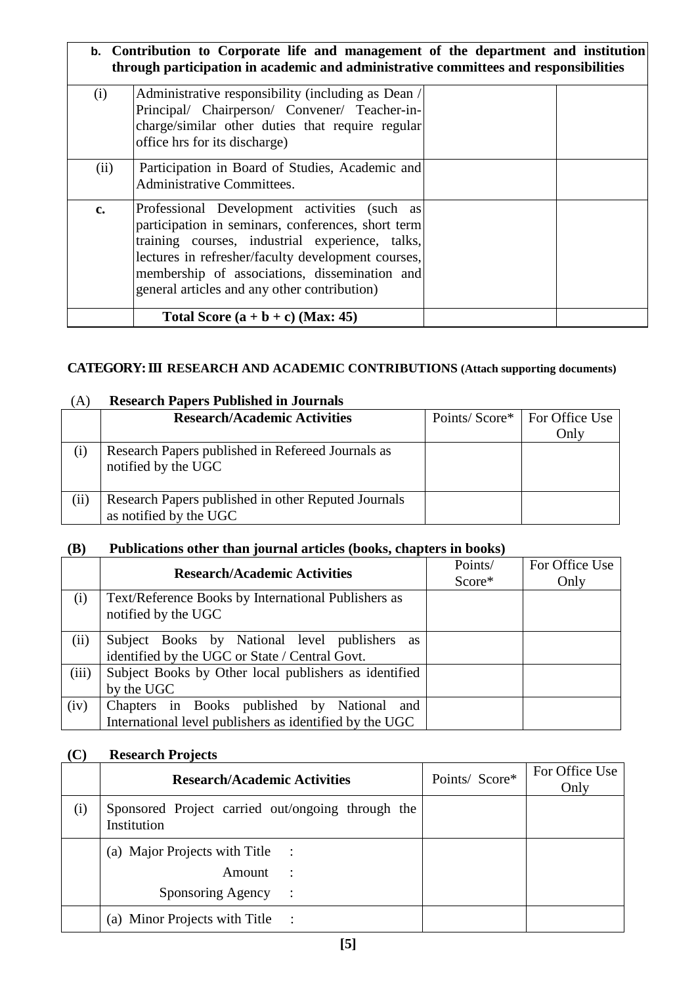|               | b. Contribution to Corporate life and management of the department and institution<br>through participation in academic and administrative committees and responsibilities                                                                                                                                   |  |
|---------------|--------------------------------------------------------------------------------------------------------------------------------------------------------------------------------------------------------------------------------------------------------------------------------------------------------------|--|
| (i)           | Administrative responsibility (including as Dean /<br>Principal/ Chairperson/ Convener/ Teacher-in-<br>charge/similar other duties that require regular<br>office hrs for its discharge)                                                                                                                     |  |
| (ii)          | Participation in Board of Studies, Academic and<br>Administrative Committees.                                                                                                                                                                                                                                |  |
| $c_{\bullet}$ | Professional Development activities (such as<br>participation in seminars, conferences, short term<br>training courses, industrial experience, talks,<br>lectures in refresher/faculty development courses,<br>membership of associations, dissemination and<br>general articles and any other contribution) |  |
|               | Total Score $(a + b + c)$ (Max: 45)                                                                                                                                                                                                                                                                          |  |

# **CATEGORY: III RESEARCH AND ACADEMIC CONTRIBUTIONS (Attach supporting documents)**

| (A)  | <b>Research Papers Published in Journals</b>                                  |               |                |
|------|-------------------------------------------------------------------------------|---------------|----------------|
|      | <b>Research/Academic Activities</b>                                           | Points/Score* | For Office Use |
|      |                                                                               |               | Only           |
| (i)  | Research Papers published in Refereed Journals as<br>notified by the UGC      |               |                |
| (ii) | Research Papers published in other Reputed Journals<br>as notified by the UGC |               |                |

# **(B) Publications other than journal articles (books, chapters in books)**

|       | <b>Research/Academic Activities</b>                                                                    | Points/<br>Score* | For Office Use<br>Only |
|-------|--------------------------------------------------------------------------------------------------------|-------------------|------------------------|
| (i)   | Text/Reference Books by International Publishers as<br>notified by the UGC                             |                   |                        |
| (ii)  | Subject Books by National level publishers<br>as<br>identified by the UGC or State / Central Govt.     |                   |                        |
| (iii) | Subject Books by Other local publishers as identified<br>by the UGC                                    |                   |                        |
| (iv)  | Chapters in Books published by National and<br>International level publishers as identified by the UGC |                   |                        |

# **(C) Research Projects**

|     | <b>Research/Academic Activities</b>                              | Points/ Score* | For Office Use<br>Only |
|-----|------------------------------------------------------------------|----------------|------------------------|
| (i) | Sponsored Project carried out/ongoing through the<br>Institution |                |                        |
|     | (a) Major Projects with Title :                                  |                |                        |
|     | Amount<br>$\mathbb{R}$                                           |                |                        |
|     | Sponsoring Agency :                                              |                |                        |
|     | (a) Minor Projects with Title :                                  |                |                        |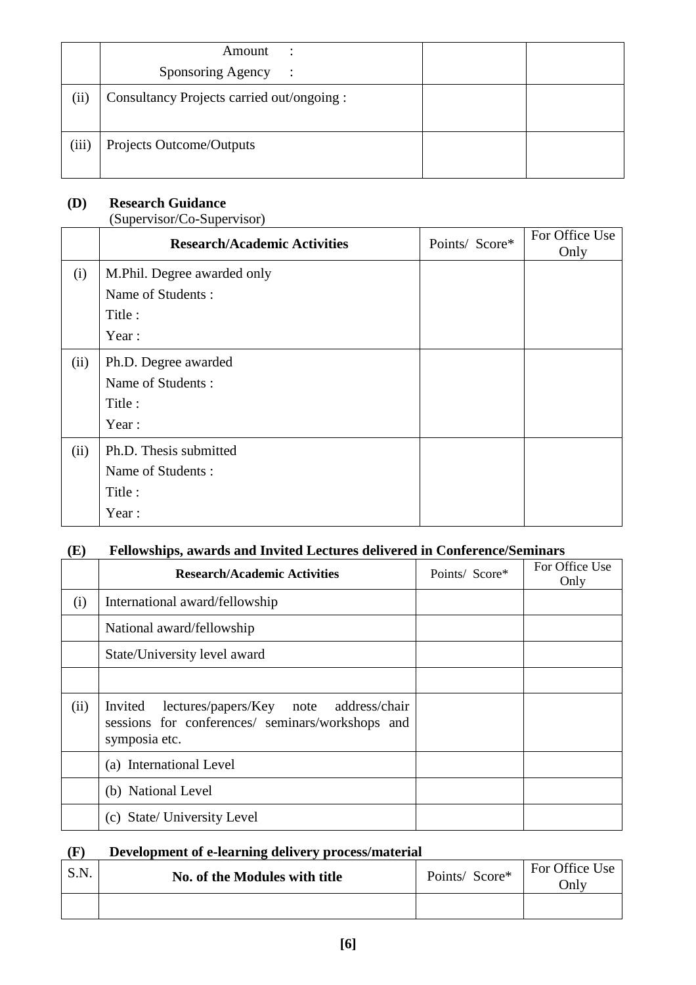|       | Amount<br>$\therefore$                     |  |
|-------|--------------------------------------------|--|
|       | Sponsoring Agency :                        |  |
| (ii)  | Consultancy Projects carried out/ongoing : |  |
| (iii) | Projects Outcome/Outputs                   |  |

# **(D) Research Guidance**

(Supervisor/Co-Supervisor)

|      | <b>Research/Academic Activities</b> | Points/ Score* | For Office Use<br>Only |  |
|------|-------------------------------------|----------------|------------------------|--|
| (i)  | M.Phil. Degree awarded only         |                |                        |  |
|      | Name of Students:                   |                |                        |  |
|      | Title:                              |                |                        |  |
|      | Year:                               |                |                        |  |
| (ii) | Ph.D. Degree awarded                |                |                        |  |
|      | Name of Students:                   |                |                        |  |
|      | Title:                              |                |                        |  |
|      | Year:                               |                |                        |  |
| (ii) | Ph.D. Thesis submitted              |                |                        |  |
|      | Name of Students:                   |                |                        |  |
|      | Title:                              |                |                        |  |
|      | Year:                               |                |                        |  |

# **(E) Fellowships, awards and Invited Lectures delivered in Conference/Seminars**

|      | <b>Research/Academic Activities</b>                                                                                 | Points/ Score* | For Office Use<br>Only |
|------|---------------------------------------------------------------------------------------------------------------------|----------------|------------------------|
| (i)  | International award/fellowship                                                                                      |                |                        |
|      | National award/fellowship                                                                                           |                |                        |
|      | State/University level award                                                                                        |                |                        |
|      |                                                                                                                     |                |                        |
| (ii) | Invited lectures/papers/Key note address/chair<br>sessions for conferences/ seminars/workshops and<br>symposia etc. |                |                        |
|      | (a) International Level                                                                                             |                |                        |
|      | (b) National Level                                                                                                  |                |                        |
|      | (c) State/ University Level                                                                                         |                |                        |

### **(F) Development of e-learning delivery process/material**

| S.N. | No. of the Modules with title | Points/ Score* | For Office Use<br>Jnlv |
|------|-------------------------------|----------------|------------------------|
|      |                               |                |                        |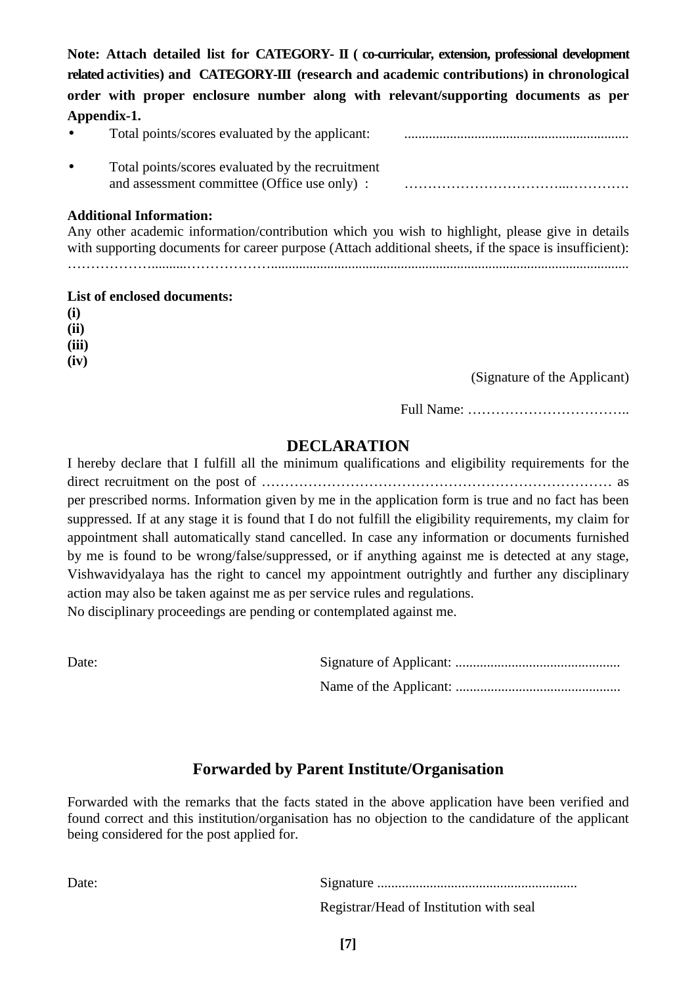Note: Attach detailed list for CATEGORY- II (co-curricular, extension, professional development **related activities) and CATEGORY-III (research and academic contributions) in chronological order with proper enclosure number along with relevant/supporting documents as per Appendix-1.** 

| Total points/scores evaluated by the applicant:  |  |
|--------------------------------------------------|--|
| Total points/scores evaluated by the recruitment |  |
| and assessment committee (Office use only):      |  |

#### **Additional Information:**

Any other academic information/contribution which you wish to highlight, please give in details with supporting documents for career purpose (Attach additional sheets, if the space is insufficient): ………………..........………………......................................................................................................

#### **List of enclosed documents:**

**(i) (ii) (iii)** 

**(iv)** 

(Signature of the Applicant)

Full Name: ……………………………..

# **DECLARATION**

I hereby declare that I fulfill all the minimum qualifications and eligibility requirements for the direct recruitment on the post of ………………………………………………………………… as per prescribed norms. Information given by me in the application form is true and no fact has been suppressed. If at any stage it is found that I do not fulfill the eligibility requirements, my claim for appointment shall automatically stand cancelled. In case any information or documents furnished by me is found to be wrong/false/suppressed, or if anything against me is detected at any stage, Vishwavidyalaya has the right to cancel my appointment outrightly and further any disciplinary action may also be taken against me as per service rules and regulations. No disciplinary proceedings are pending or contemplated against me.

| Date: |  |
|-------|--|
|       |  |

# **Forwarded by Parent Institute/Organisation**

Forwarded with the remarks that the facts stated in the above application have been verified and found correct and this institution/organisation has no objection to the candidature of the applicant being considered for the post applied for.

Date: Signature .........................................................

Registrar/Head of Institution with seal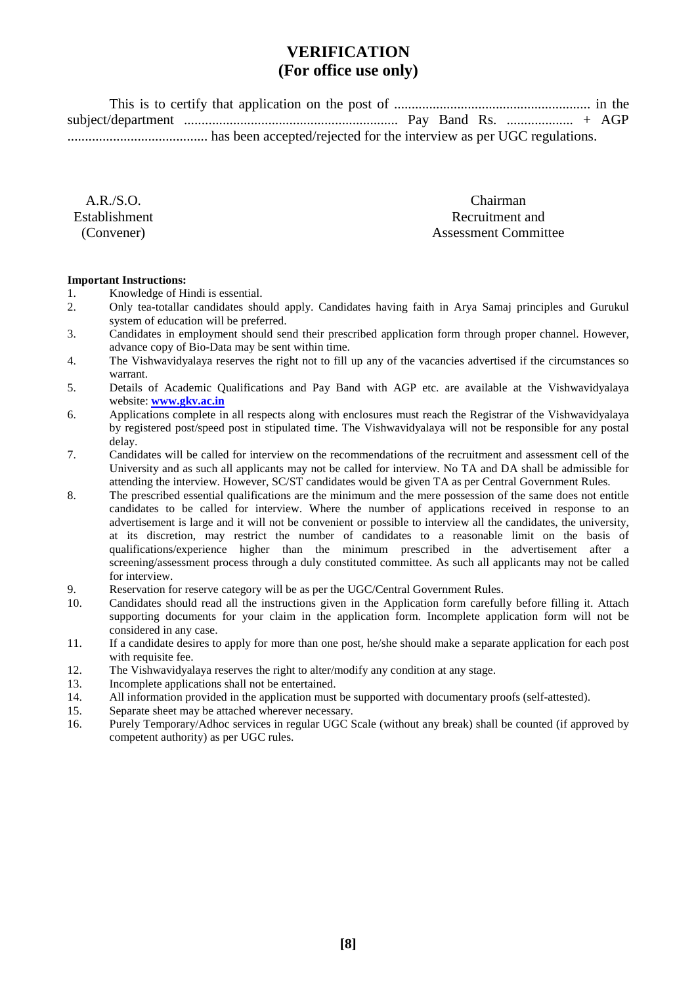# **VERIFICATION (For office use only)**

 This is to certify that application on the post of ........................................................ in the subject/department ............................................................. Pay Band Rs. ................... + AGP ........................................ has been accepted/rejected for the interview as per UGC regulations.

 $AR/S.$  O Establishment (Convener)

 Chairman Recruitment and Assessment Committee

#### **Important Instructions:**

- 1. Knowledge of Hindi is essential.
- 2. Only tea-totallar candidates should apply. Candidates having faith in Arya Samaj principles and Gurukul system of education will be preferred.
- 3. Candidates in employment should send their prescribed application form through proper channel. However, advance copy of Bio-Data may be sent within time.
- 4. The Vishwavidyalaya reserves the right not to fill up any of the vacancies advertised if the circumstances so warrant.
- 5. Details of Academic Qualifications and Pay Band with AGP etc. are available at the Vishwavidyalaya website: **www.gkv.ac.in**
- 6. Applications complete in all respects along with enclosures must reach the Registrar of the Vishwavidyalaya by registered post/speed post in stipulated time. The Vishwavidyalaya will not be responsible for any postal delay.
- 7. Candidates will be called for interview on the recommendations of the recruitment and assessment cell of the University and as such all applicants may not be called for interview. No TA and DA shall be admissible for attending the interview. However, SC/ST candidates would be given TA as per Central Government Rules.
- 8. The prescribed essential qualifications are the minimum and the mere possession of the same does not entitle candidates to be called for interview. Where the number of applications received in response to an advertisement is large and it will not be convenient or possible to interview all the candidates, the university, at its discretion, may restrict the number of candidates to a reasonable limit on the basis of qualifications/experience higher than the minimum prescribed in the advertisement after a screening/assessment process through a duly constituted committee. As such all applicants may not be called for interview.
- 9. Reservation for reserve category will be as per the UGC/Central Government Rules.
- 10. Candidates should read all the instructions given in the Application form carefully before filling it. Attach supporting documents for your claim in the application form. Incomplete application form will not be considered in any case.
- 11. If a candidate desires to apply for more than one post, he/she should make a separate application for each post with requisite fee.
- 12. The Vishwavidyalaya reserves the right to alter/modify any condition at any stage.
- 13. Incomplete applications shall not be entertained.
- 14. All information provided in the application must be supported with documentary proofs (self-attested).
- 15. Separate sheet may be attached wherever necessary.
- 16. Purely Temporary/Adhoc services in regular UGC Scale (without any break) shall be counted (if approved by competent authority) as per UGC rules.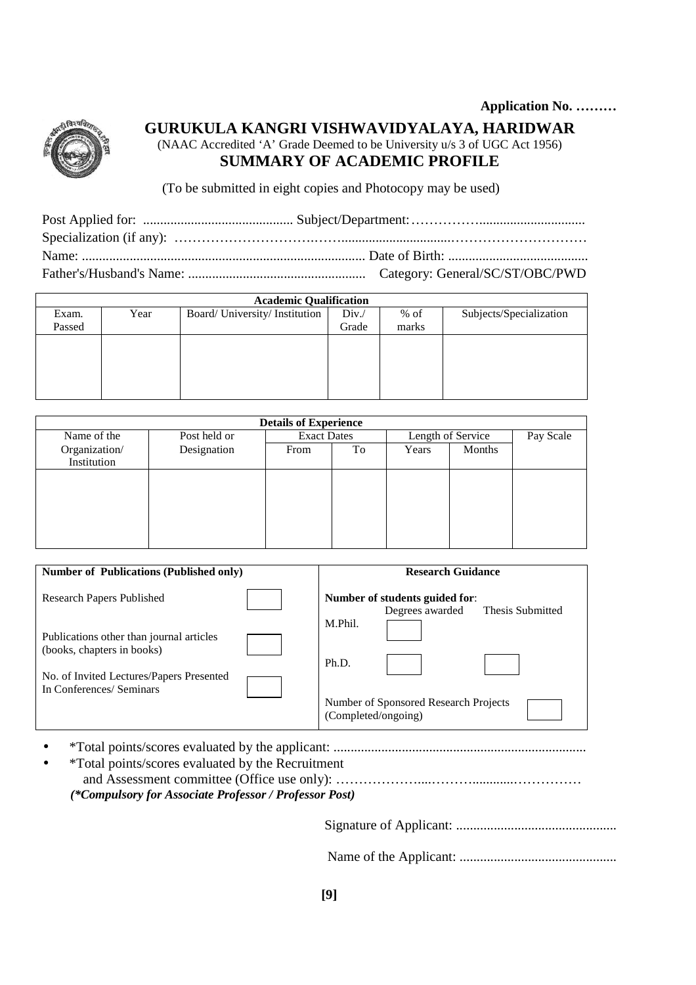

# **GURUKULA KANGRI VISHWAVIDYALAYA, HARIDWAR**

(NAAC Accredited 'A' Grade Deemed to be University u/s 3 of UGC Act 1956)

# **SUMMARY OF ACADEMIC PROFILE**

(To be submitted in eight copies and Photocopy may be used)

| <b>Academic Qualification</b> |      |                                |       |        |                         |
|-------------------------------|------|--------------------------------|-------|--------|-------------------------|
| Exam.                         | Year | Board/ University/ Institution | Div.  | $%$ of | Subjects/Specialization |
| Passed                        |      |                                | Grade | marks  |                         |
|                               |      |                                |       |        |                         |
|                               |      |                                |       |        |                         |
|                               |      |                                |       |        |                         |
|                               |      |                                |       |        |                         |
|                               |      |                                |       |        |                         |

| <b>Details of Experience</b> |              |                    |    |                   |        |           |
|------------------------------|--------------|--------------------|----|-------------------|--------|-----------|
| Name of the                  | Post held or | <b>Exact Dates</b> |    | Length of Service |        | Pay Scale |
| Organization/                | Designation  | From               | To | Years             | Months |           |
| Institution                  |              |                    |    |                   |        |           |
|                              |              |                    |    |                   |        |           |
|                              |              |                    |    |                   |        |           |
|                              |              |                    |    |                   |        |           |
|                              |              |                    |    |                   |        |           |
|                              |              |                    |    |                   |        |           |
|                              |              |                    |    |                   |        |           |

| <b>Number of Publications (Published only)</b>                                                                     | <b>Research Guidance</b>                                              |
|--------------------------------------------------------------------------------------------------------------------|-----------------------------------------------------------------------|
| <b>Research Papers Published</b>                                                                                   | Number of students guided for:<br>Thesis Submitted<br>Degrees awarded |
| Publications other than journal articles<br>(books, chapters in books)<br>No. of Invited Lectures/Papers Presented | M.Phil.<br>Ph.D.                                                      |
| In Conferences/ Seminars                                                                                           | Number of Sponsored Research Projects<br>(Completed/ongoing)          |

• \*Total points/scores evaluated by the applicant: ..........................................................................

| <i>*Total points/scores evaluated by the Recruitment</i> |
|----------------------------------------------------------|
|                                                          |
| (*Compulsory for Associate Professor / Professor Post)   |

Signature of Applicant: ...............................................

Name of the Applicant: ..............................................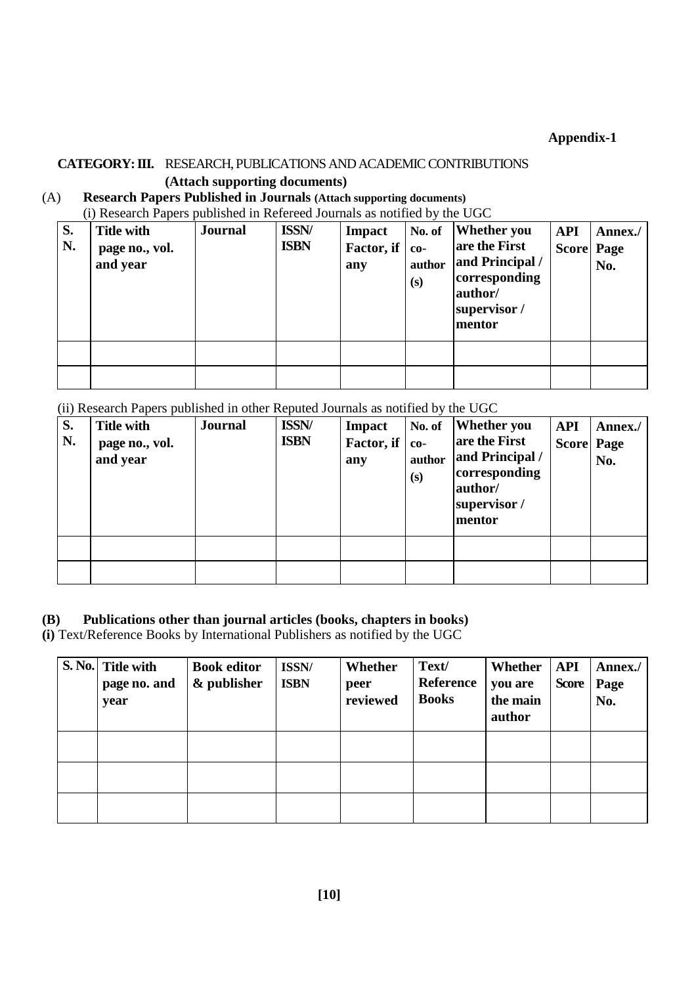**Appendix-1** 

# **CATEGORY: III.** RESEARCH, PUBLICATIONS AND ACADEMIC CONTRIBUTIONS

#### **(Attach supporting documents)**

(A) **Research Papers Published in Journals (Attach supporting documents)**

(i) Research Papers published in Refereed Journals as notified by the UGC

| S.<br>N. | <b>Title with</b><br>page no., vol.<br>and year | <b>Journal</b> | <b>ISSN/</b><br><b>ISBN</b> | <b>Impact</b><br>Factor, if<br>any | No. of<br>$co-$<br>author<br>(s) | <b>Whether you</b><br>are the First<br>and Principal /<br>corresponding<br>author/<br>supervisor /<br>mentor | <b>API</b><br><b>Score Page</b> | Annex./<br>No. |
|----------|-------------------------------------------------|----------------|-----------------------------|------------------------------------|----------------------------------|--------------------------------------------------------------------------------------------------------------|---------------------------------|----------------|
|          |                                                 |                |                             |                                    |                                  |                                                                                                              |                                 |                |
|          |                                                 |                |                             |                                    |                                  |                                                                                                              |                                 |                |

(ii) Research Papers published in other Reputed Journals as notified by the UGC

| S.<br>N. | <b>Title with</b><br>page no., vol.<br>and year | <b>Journal</b> | <b>ISSN/</b><br><b>ISBN</b> | <b>Impact</b><br>Factor, if<br>any | No. of<br>$co-$<br>author<br>(s) | <b>Whether</b> you<br>are the First<br>and Principal /<br>corresponding<br>author/<br>supervisor /<br>mentor | <b>API</b><br><b>Score Page</b> | Annex./<br>No. |
|----------|-------------------------------------------------|----------------|-----------------------------|------------------------------------|----------------------------------|--------------------------------------------------------------------------------------------------------------|---------------------------------|----------------|
|          |                                                 |                |                             |                                    |                                  |                                                                                                              |                                 |                |
|          |                                                 |                |                             |                                    |                                  |                                                                                                              |                                 |                |

## **(B) Publications other than journal articles (books, chapters in books)**

**(i)** Text/Reference Books by International Publishers as notified by the UGC

| S. No. Title with<br>page no. and<br>year | <b>Book editor</b><br>& publisher | ISSN/<br><b>ISBN</b> | Whether<br>peer<br>reviewed | Text/<br><b>Reference</b><br><b>Books</b> | Whether<br>you are<br>the main<br>author | <b>API</b><br><b>Score</b> | Annex./<br>Page<br>No. |
|-------------------------------------------|-----------------------------------|----------------------|-----------------------------|-------------------------------------------|------------------------------------------|----------------------------|------------------------|
|                                           |                                   |                      |                             |                                           |                                          |                            |                        |
|                                           |                                   |                      |                             |                                           |                                          |                            |                        |
|                                           |                                   |                      |                             |                                           |                                          |                            |                        |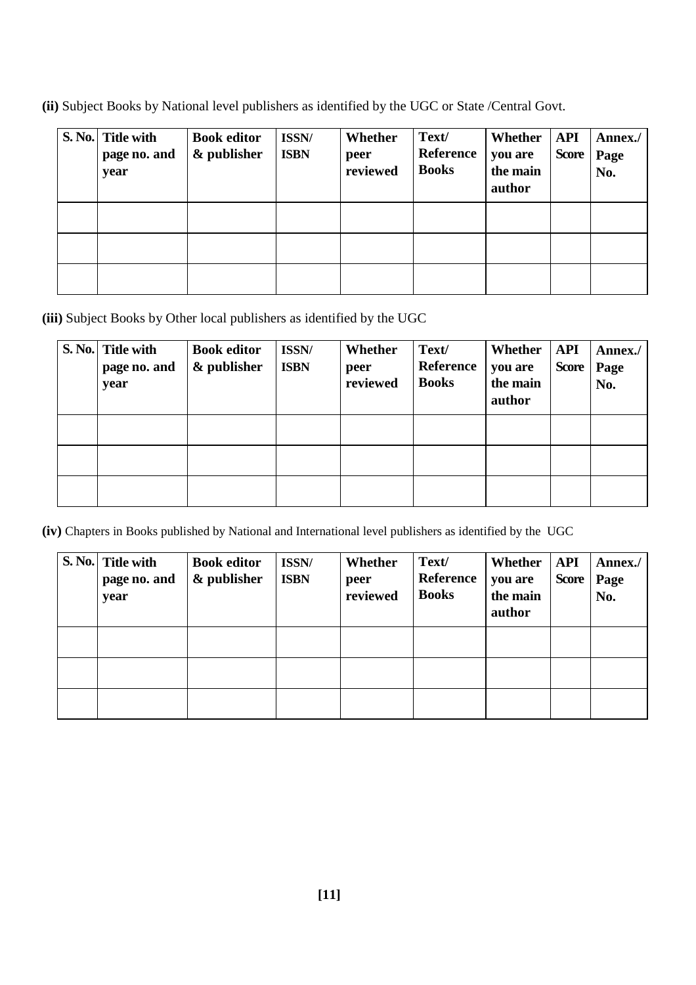**(ii)** Subject Books by National level publishers as identified by the UGC or State /Central Govt.

| S. No. Title with<br>page no. and<br>year | <b>Book editor</b><br>& publisher | ISSN/<br><b>ISBN</b> | Whether<br>peer<br>reviewed | Text/<br>Reference<br><b>Books</b> | Whether<br>you are<br>the main<br>author | API<br><b>Score</b> | Annex./<br>Page<br>No. |
|-------------------------------------------|-----------------------------------|----------------------|-----------------------------|------------------------------------|------------------------------------------|---------------------|------------------------|
|                                           |                                   |                      |                             |                                    |                                          |                     |                        |
|                                           |                                   |                      |                             |                                    |                                          |                     |                        |
|                                           |                                   |                      |                             |                                    |                                          |                     |                        |

**(iii)** Subject Books by Other local publishers as identified by the UGC

| S. No. Title with<br>page no. and<br>year | <b>Book editor</b><br>& publisher | ISSN/<br><b>ISBN</b> | Whether<br>peer<br>reviewed | Text/<br><b>Reference</b><br><b>Books</b> | Whether<br>you are<br>the main<br>author | <b>API</b><br><b>Score</b> | Annex./<br>Page<br>No. |
|-------------------------------------------|-----------------------------------|----------------------|-----------------------------|-------------------------------------------|------------------------------------------|----------------------------|------------------------|
|                                           |                                   |                      |                             |                                           |                                          |                            |                        |
|                                           |                                   |                      |                             |                                           |                                          |                            |                        |
|                                           |                                   |                      |                             |                                           |                                          |                            |                        |

**(iv)** Chapters in Books published by National and International level publishers as identified by the UGC

| S. No. Title with<br>page no. and<br>year | <b>Book editor</b><br>& publisher | ISSN/<br><b>ISBN</b> | Whether<br>peer<br>reviewed | Text/<br>Reference<br><b>Books</b> | Whether<br>you are<br>the main<br>author | API<br><b>Score</b> | Annex./<br>Page<br>No. |
|-------------------------------------------|-----------------------------------|----------------------|-----------------------------|------------------------------------|------------------------------------------|---------------------|------------------------|
|                                           |                                   |                      |                             |                                    |                                          |                     |                        |
|                                           |                                   |                      |                             |                                    |                                          |                     |                        |
|                                           |                                   |                      |                             |                                    |                                          |                     |                        |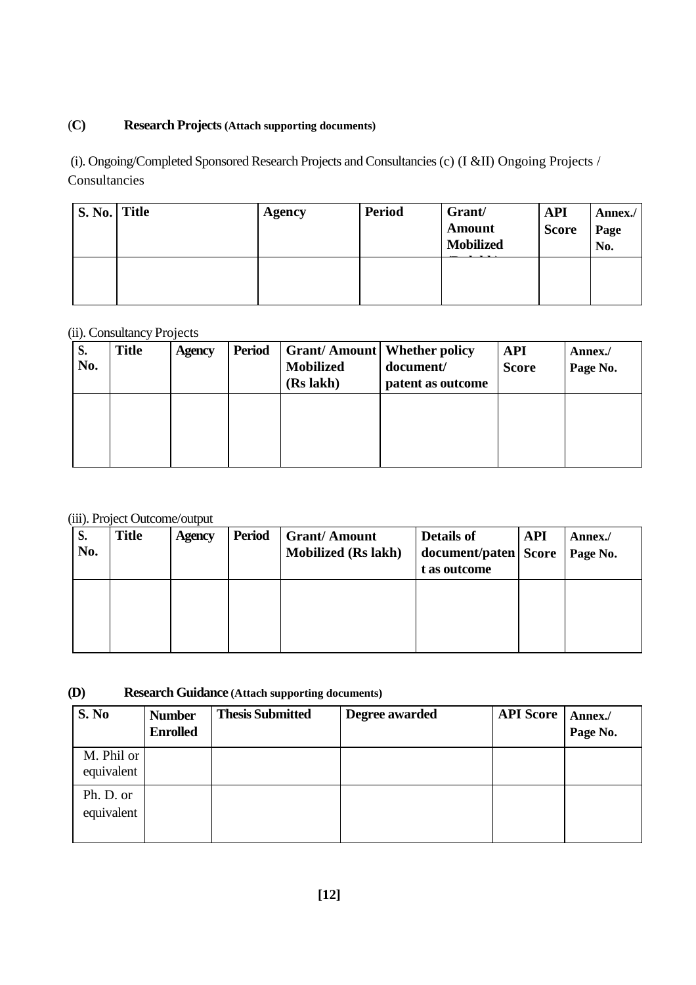## (**C) Research Projects (Attach supporting documents)**

 (i). Ongoing/Completed Sponsored Research Projects and Consultancies (c) (I &II) Ongoing Projects / Consultancies

| S. No. Title | Agency | <b>Period</b> | Grant/<br><b>Amount</b><br><b>Mobilized</b> | <b>API</b><br><b>Score</b> | Annex./<br>Page<br>No. |
|--------------|--------|---------------|---------------------------------------------|----------------------------|------------------------|
|              |        |               |                                             |                            |                        |

#### (ii). Consultancy Projects

| S.<br>No. | <b>Title</b> | <b>Agency</b> | <b>Period</b> | <b>Mobilized</b><br>(Rs lakh) | <b>Grant/Amount   Whether policy</b><br>document/<br>patent as outcome | <b>API</b><br><b>Score</b> | Annex./<br>Page No. |
|-----------|--------------|---------------|---------------|-------------------------------|------------------------------------------------------------------------|----------------------------|---------------------|
|           |              |               |               |                               |                                                                        |                            |                     |

#### (iii). Project Outcome/output

| S.<br>No. | <b>Title</b> | <b>Agency</b> | <b>Period</b> | <b>Grant/Amount</b><br><b>Mobilized (Rs lakh)</b> | Details of<br>document/paten   Score<br>t as outcome | <b>API</b> | Annex./<br>Page No. |
|-----------|--------------|---------------|---------------|---------------------------------------------------|------------------------------------------------------|------------|---------------------|
|           |              |               |               |                                                   |                                                      |            |                     |

# **(D) Research Guidance (Attach supporting documents)**

| S. No                    | <b>Number</b><br><b>Enrolled</b> | <b>Thesis Submitted</b> | Degree awarded | <b>API Score</b> | Annex./<br>Page No. |
|--------------------------|----------------------------------|-------------------------|----------------|------------------|---------------------|
| M. Phil or<br>equivalent |                                  |                         |                |                  |                     |
| Ph. D. or<br>equivalent  |                                  |                         |                |                  |                     |